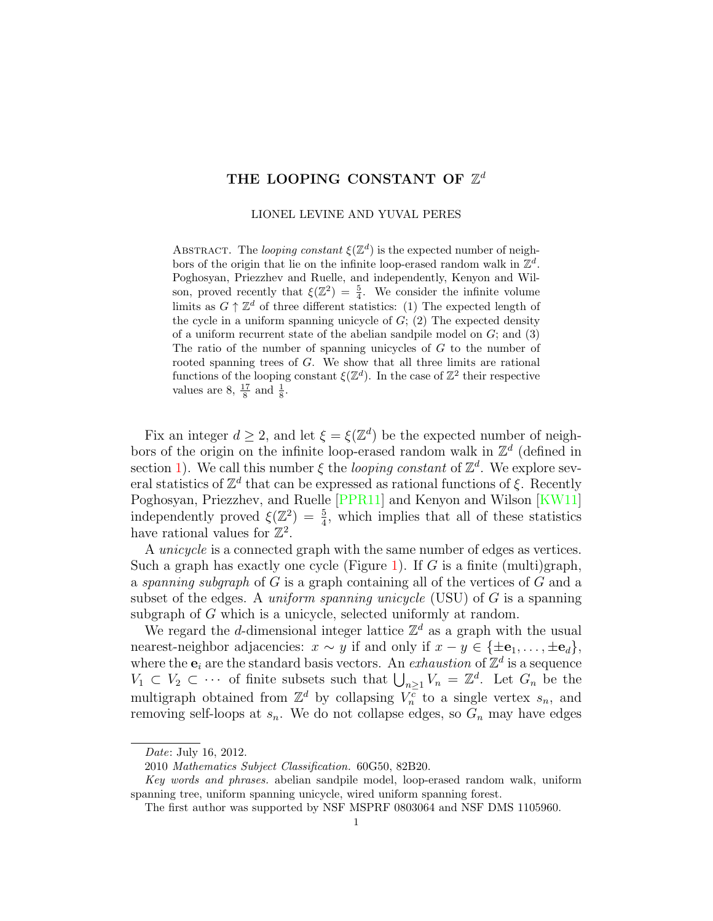# THE LOOPING CONSTANT OF  $\mathbb{Z}^d$

LIONEL LEVINE AND YUVAL PERES

ABSTRACT. The looping constant  $\xi(\mathbb{Z}^d)$  is the expected number of neighbors of the origin that lie on the infinite loop-erased random walk in  $\mathbb{Z}^d$ . Poghosyan, Priezzhev and Ruelle, and independently, Kenyon and Wilson, proved recently that  $\xi(\mathbb{Z}^2) = \frac{5}{4}$ . We consider the infinite volume limits as  $G \uparrow \mathbb{Z}^d$  of three different statistics: (1) The expected length of the cycle in a uniform spanning unicycle of  $G$ ; (2) The expected density of a uniform recurrent state of the abelian sandpile model on  $G$ ; and  $(3)$ The ratio of the number of spanning unicycles of G to the number of rooted spanning trees of G. We show that all three limits are rational functions of the looping constant  $\xi(\mathbb{Z}^d)$ . In the case of  $\mathbb{Z}^2$  their respective values are  $8, \frac{17}{8}$  and  $\frac{1}{8}$ .

Fix an integer  $d \geq 2$ , and let  $\xi = \xi(\mathbb{Z}^d)$  be the expected number of neighbors of the origin on the infinite loop-erased random walk in  $\mathbb{Z}^d$  (defined in section [1\)](#page-4-0). We call this number  $\xi$  the *looping constant* of  $\mathbb{Z}^d$ . We explore several statistics of  $\mathbb{Z}^d$  that can be expressed as rational functions of  $\xi$ . Recently Poghosyan, Priezzhev, and Ruelle [\[PPR11\]](#page-14-0) and Kenyon and Wilson [\[KW11\]](#page-13-0) independently proved  $\xi(\mathbb{Z}^2) = \frac{5}{4}$ , which implies that all of these statistics have rational values for  $\mathbb{Z}^2$ .

A unicycle is a connected graph with the same number of edges as vertices. Such a graph has exactly one cycle (Figure [1\)](#page-2-0). If G is a finite (multi)graph, a spanning subgraph of  $G$  is a graph containing all of the vertices of  $G$  and a subset of the edges. A uniform spanning unicycle (USU) of  $G$  is a spanning subgraph of G which is a unicycle, selected uniformly at random.

We regard the d-dimensional integer lattice  $\mathbb{Z}^d$  as a graph with the usual nearest-neighbor adjacencies:  $x \sim y$  if and only if  $x - y \in {\pm \mathbf{e}_1, \ldots, \pm \mathbf{e}_d}$ , where the  $e_i$  are the standard basis vectors. An *exhaustion* of  $\mathbb{Z}^d$  is a sequence  $V_1 \subset V_2 \subset \cdots$  of finite subsets such that  $\bigcup_{n\geq 1} V_n = \mathbb{Z}^d$ . Let  $G_n$  be the multigraph obtained from  $\mathbb{Z}^d$  by collapsing  $V_n^{\overline{c}}$  to a single vertex  $s_n$ , and removing self-loops at  $s_n$ . We do not collapse edges, so  $G_n$  may have edges

Date: July 16, 2012.

<sup>2010</sup> Mathematics Subject Classification. 60G50, 82B20.

Key words and phrases. abelian sandpile model, loop-erased random walk, uniform spanning tree, uniform spanning unicycle, wired uniform spanning forest.

The first author was supported by NSF MSPRF 0803064 and NSF DMS 1105960.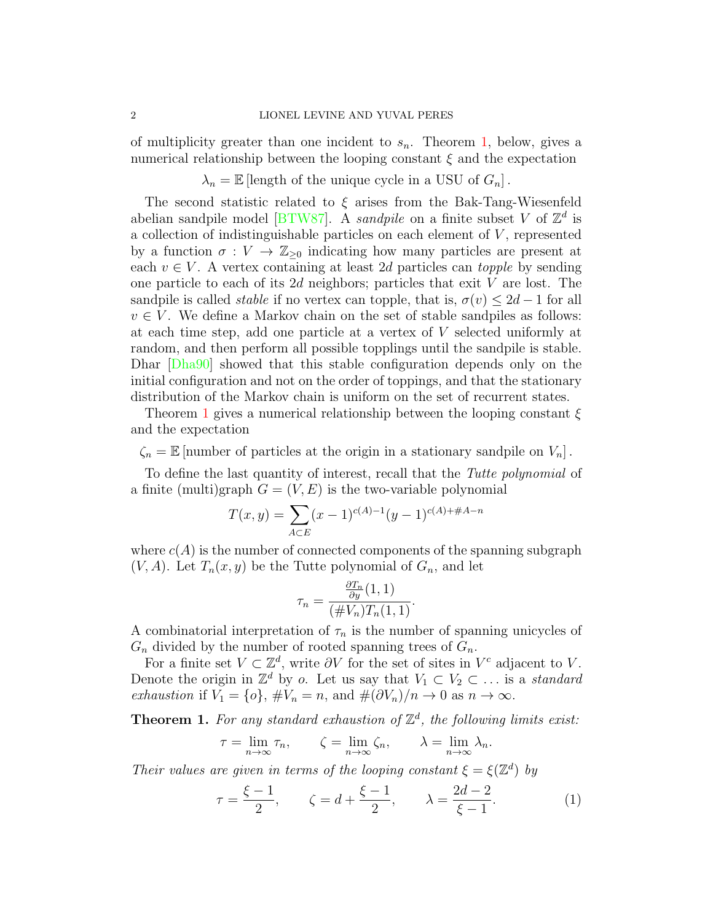of multiplicity greater than one incident to  $s_n$ . Theorem [1,](#page-1-0) below, gives a numerical relationship between the looping constant  $\xi$  and the expectation

 $\lambda_n = \mathbb{E}$  [length of the unique cycle in a USU of  $G_n$ ].

The second statistic related to  $\xi$  arises from the Bak-Tang-Wiesenfeld abelian sandpile model [\[BTW87\]](#page-13-1). A *sandpile* on a finite subset V of  $\mathbb{Z}^d$  is a collection of indistinguishable particles on each element of  $V$ , represented by a function  $\sigma: V \to \mathbb{Z}_{\geq 0}$  indicating how many particles are present at each  $v \in V$ . A vertex containing at least 2d particles can topple by sending one particle to each of its  $2d$  neighbors; particles that exit V are lost. The sandpile is called *stable* if no vertex can topple, that is,  $\sigma(v) \leq 2d - 1$  for all  $v \in V$ . We define a Markov chain on the set of stable sandpiles as follows: at each time step, add one particle at a vertex of V selected uniformly at random, and then perform all possible topplings until the sandpile is stable. Dhar [\[Dha90\]](#page-13-2) showed that this stable configuration depends only on the initial configuration and not on the order of toppings, and that the stationary distribution of the Markov chain is uniform on the set of recurrent states.

Theorem [1](#page-1-0) gives a numerical relationship between the looping constant  $\xi$ and the expectation

 $\zeta_n = \mathbb{E}$  [number of particles at the origin in a stationary sandpile on  $V_n$ ].

To define the last quantity of interest, recall that the Tutte polynomial of a finite (multi)graph  $G = (V, E)$  is the two-variable polynomial

$$
T(x,y) = \sum_{A \subset E} (x-1)^{c(A)-1} (y-1)^{c(A)+\#A-n}
$$

where  $c(A)$  is the number of connected components of the spanning subgraph  $(V, A)$ . Let  $T_n(x, y)$  be the Tutte polynomial of  $G_n$ , and let

$$
\tau_n = \frac{\frac{\partial T_n}{\partial y}(1,1)}{(\#V_n)T_n(1,1)}.
$$

A combinatorial interpretation of  $\tau_n$  is the number of spanning unicycles of  $G_n$  divided by the number of rooted spanning trees of  $G_n$ .

For a finite set  $V \subset \mathbb{Z}^d$ , write  $\partial V$  for the set of sites in  $V^c$  adjacent to V. Denote the origin in  $\mathbb{Z}^d$  by o. Let us say that  $V_1 \subset V_2 \subset \ldots$  is a standard exhaustion if  $V_1 = \{o\}, \#V_n = n$ , and  $\#(\partial V_n)/n \to 0$  as  $n \to \infty$ .

<span id="page-1-0"></span>**Theorem 1.** For any standard exhaustion of  $\mathbb{Z}^d$ , the following limits exist:

$$
\tau = \lim_{n \to \infty} \tau_n, \qquad \zeta = \lim_{n \to \infty} \zeta_n, \qquad \lambda = \lim_{n \to \infty} \lambda_n.
$$

Their values are given in terms of the looping constant  $\xi = \xi(\mathbb{Z}^d)$  by

<span id="page-1-1"></span>
$$
\tau = \frac{\xi - 1}{2}, \qquad \zeta = d + \frac{\xi - 1}{2}, \qquad \lambda = \frac{2d - 2}{\xi - 1}.
$$
 (1)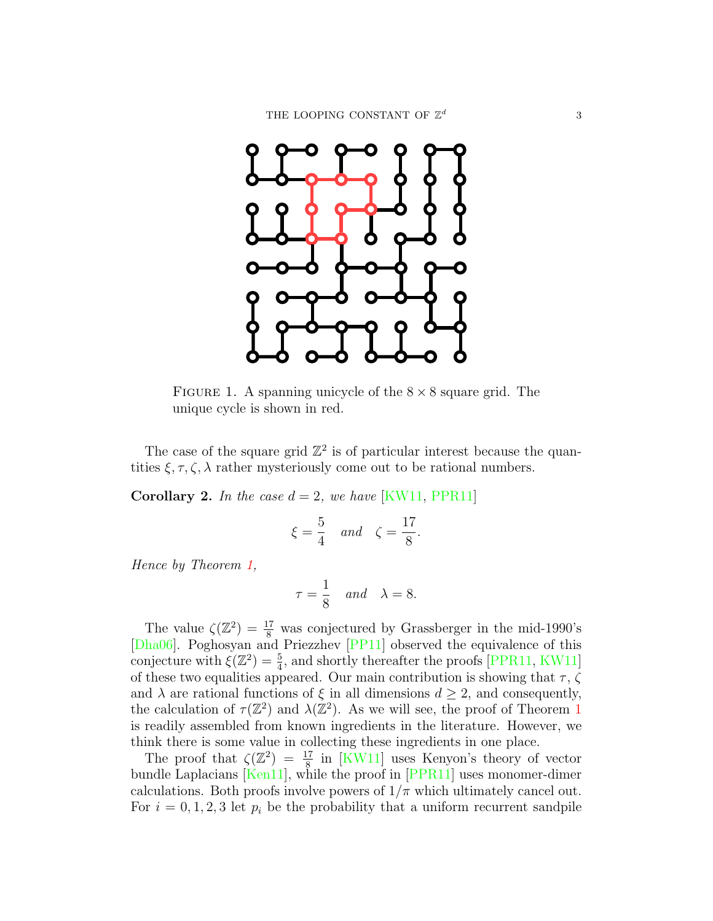

<span id="page-2-0"></span>FIGURE 1. A spanning unicycle of the  $8 \times 8$  square grid. The unique cycle is shown in red.

The case of the square grid  $\mathbb{Z}^2$  is of particular interest because the quantities  $\xi, \tau, \zeta, \lambda$  rather mysteriously come out to be rational numbers.

**Corollary 2.** In the case  $d = 2$ , we have [\[KW11,](#page-13-0) [PPR11\]](#page-14-0)

$$
\xi = \frac{5}{4} \quad and \quad \zeta = \frac{17}{8}.
$$

Hence by Theorem [1,](#page-1-0)

$$
\tau = \frac{1}{8} \quad and \quad \lambda = 8.
$$

The value  $\zeta(\mathbb{Z}^2) = \frac{17}{8}$  was conjectured by Grassberger in the mid-1990's [\[Dha06\]](#page-13-3). Poghosyan and Priezzhev [\[PP11\]](#page-14-1) observed the equivalence of this conjecture with  $\xi(\mathbb{Z}^2) = \frac{5}{4}$ , and shortly thereafter the proofs [\[PPR11,](#page-14-0) [KW11\]](#page-13-0) of these two equalities appeared. Our main contribution is showing that  $\tau$ ,  $\zeta$ and  $\lambda$  are rational functions of  $\xi$  in all dimensions  $d \geq 2$ , and consequently, the calculation of  $\tau(\mathbb{Z}^2)$  and  $\lambda(\mathbb{Z}^2)$ . As we will see, the proof of Theorem [1](#page-1-0) is readily assembled from known ingredients in the literature. However, we think there is some value in collecting these ingredients in one place.

The proof that  $\zeta(\mathbb{Z}^2) = \frac{17}{8}$  in [\[KW11\]](#page-13-0) uses Kenyon's theory of vector bundle Laplacians  $\overline{[Ken11]}$ , while the proof in  $\overline{[PPR11]}$  uses monomer-dimer calculations. Both proofs involve powers of  $1/\pi$  which ultimately cancel out. For  $i = 0, 1, 2, 3$  let  $p_i$  be the probability that a uniform recurrent sandpile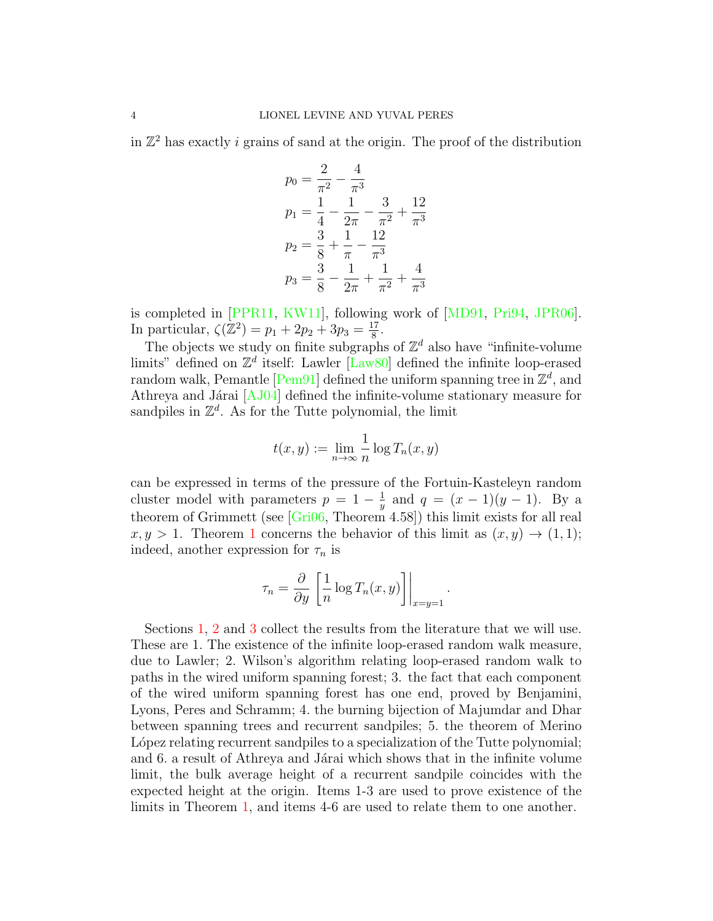in  $\mathbb{Z}^2$  has exactly i grains of sand at the origin. The proof of the distribution

$$
p_0 = \frac{2}{\pi^2} - \frac{4}{\pi^3}
$$
  
\n
$$
p_1 = \frac{1}{4} - \frac{1}{2\pi} - \frac{3}{\pi^2} + \frac{12}{\pi^3}
$$
  
\n
$$
p_2 = \frac{3}{8} + \frac{1}{\pi} - \frac{12}{\pi^3}
$$
  
\n
$$
p_3 = \frac{3}{8} - \frac{1}{2\pi} + \frac{1}{\pi^2} + \frac{4}{\pi^3}
$$

is completed in [\[PPR11,](#page-14-0) [KW11\]](#page-13-0), following work of [\[MD91,](#page-13-5) [Pri94,](#page-14-2) [JPR06\]](#page-13-6). In particular,  $\zeta(\mathbb{Z}^2) = p_1 + 2p_2 + 3p_3 = \frac{17}{8}$  $\frac{17}{8}$ .

The objects we study on finite subgraphs of  $\mathbb{Z}^d$  also have "infinite-volume" limits" defined on  $\mathbb{Z}^d$  itself: Lawler [\[Law80\]](#page-13-7) defined the infinite loop-erased random walk, Pemantle [\[Pem91\]](#page-13-8) defined the uniform spanning tree in  $\mathbb{Z}^d$ , and Athreya and Járai  $[AJ04]$  defined the infinite-volume stationary measure for sandpiles in  $\mathbb{Z}^d$ . As for the Tutte polynomial, the limit

$$
t(x,y) := \lim_{n \to \infty} \frac{1}{n} \log T_n(x,y)
$$

can be expressed in terms of the pressure of the Fortuin-Kasteleyn random cluster model with parameters  $p = 1 - \frac{1}{n}$  $\frac{1}{y}$  and  $q = (x - 1)(y - 1)$ . By a theorem of Grimmett (see [\[Gri06,](#page-13-10) Theorem 4.58]) this limit exists for all real  $x, y > 1$  $x, y > 1$ . Theorem 1 concerns the behavior of this limit as  $(x, y) \rightarrow (1, 1)$ ; indeed, another expression for  $\tau_n$  is

$$
\tau_n = \frac{\partial}{\partial y} \left[ \frac{1}{n} \log T_n(x, y) \right] \Big|_{x=y=1}
$$

.

Sections [1,](#page-4-0) [2](#page-7-0) and [3](#page-9-0) collect the results from the literature that we will use. These are 1. The existence of the infinite loop-erased random walk measure, due to Lawler; 2. Wilson's algorithm relating loop-erased random walk to paths in the wired uniform spanning forest; 3. the fact that each component of the wired uniform spanning forest has one end, proved by Benjamini, Lyons, Peres and Schramm; 4. the burning bijection of Majumdar and Dhar between spanning trees and recurrent sandpiles; 5. the theorem of Merino L'opez relating recurrent sandpiles to a specialization of the Tutte polynomial; and 6. a result of Athreya and Járai which shows that in the infinite volume limit, the bulk average height of a recurrent sandpile coincides with the expected height at the origin. Items 1-3 are used to prove existence of the limits in Theorem [1,](#page-1-0) and items 4-6 are used to relate them to one another.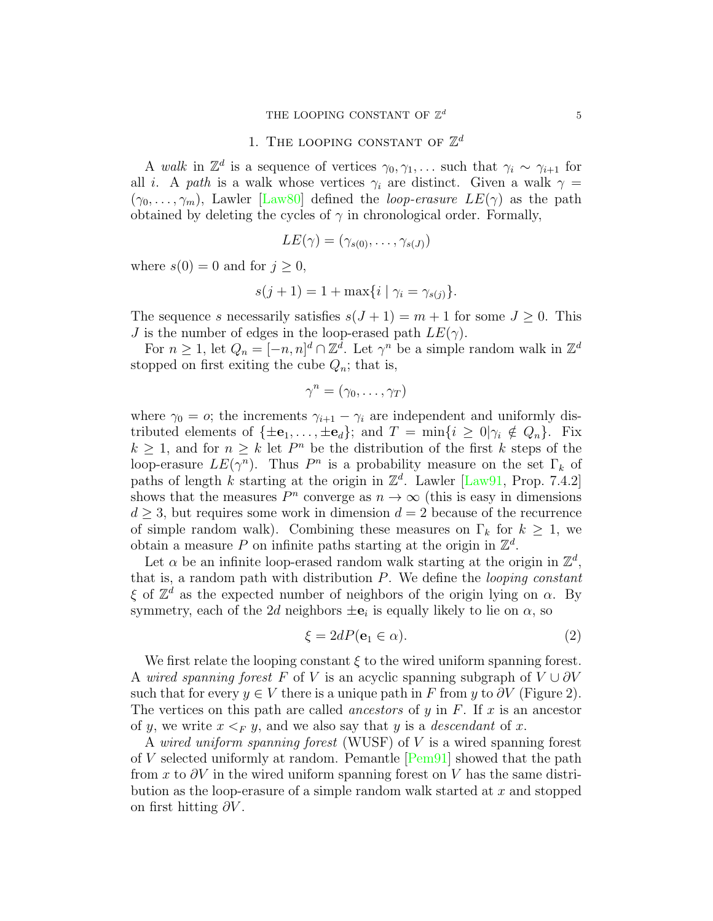# 1. THE LOOPING CONSTANT OF  $\mathbb{Z}^d$

<span id="page-4-0"></span>A walk in  $\mathbb{Z}^d$  is a sequence of vertices  $\gamma_0, \gamma_1, \ldots$  such that  $\gamma_i \sim \gamma_{i+1}$  for all i. A path is a walk whose vertices  $\gamma_i$  are distinct. Given a walk  $\gamma =$  $(\gamma_0, \ldots, \gamma_m)$ , Lawler [\[Law80\]](#page-13-7) defined the *loop-erasure LE(γ)* as the path obtained by deleting the cycles of  $\gamma$  in chronological order. Formally,

$$
LE(\gamma) = (\gamma_{s(0)}, \ldots, \gamma_{s(J)})
$$

where  $s(0) = 0$  and for  $j \geq 0$ ,

$$
s(j + 1) = 1 + \max\{i \mid \gamma_i = \gamma_{s(j)}\}.
$$

The sequence s necessarily satisfies  $s(J+1) = m+1$  for some  $J \geq 0$ . This J is the number of edges in the loop-erased path  $LE(\gamma)$ .

For  $n \geq 1$ , let  $Q_n = [-n, n]^d \cap \mathbb{Z}^d$ . Let  $\gamma^n$  be a simple random walk in  $\mathbb{Z}^d$ stopped on first exiting the cube  $Q_n$ ; that is,

$$
\gamma^n = (\gamma_0, \ldots, \gamma_T)
$$

where  $\gamma_0 = o$ ; the increments  $\gamma_{i+1} - \gamma_i$  are independent and uniformly distributed elements of  $\{\pm \mathbf{e}_1, \ldots, \pm \mathbf{e}_d\}$ ; and  $T = \min\{i \geq 0 | \gamma_i \notin Q_n\}$ . Fix  $k \geq 1$ , and for  $n \geq k$  let  $P^n$  be the distribution of the first k steps of the loop-erasure  $LE(\gamma^n)$ . Thus  $P^n$  is a probability measure on the set  $\Gamma_k$  of paths of length k starting at the origin in  $\mathbb{Z}^d$ . Lawler [\[Law91,](#page-13-11) Prop. 7.4.2] shows that the measures  $P^n$  converge as  $n \to \infty$  (this is easy in dimensions  $d \geq 3$ , but requires some work in dimension  $d = 2$  because of the recurrence of simple random walk). Combining these measures on  $\Gamma_k$  for  $k \geq 1$ , we obtain a measure P on infinite paths starting at the origin in  $\mathbb{Z}^d$ .

Let  $\alpha$  be an infinite loop-erased random walk starting at the origin in  $\mathbb{Z}^d$ , that is, a random path with distribution  $P$ . We define the *looping constant*  $\xi$  of  $\mathbb{Z}^d$  as the expected number of neighbors of the origin lying on  $\alpha$ . By symmetry, each of the 2d neighbors  $\pm \mathbf{e}_i$  is equally likely to lie on  $\alpha$ , so

<span id="page-4-1"></span>
$$
\xi = 2dP(\mathbf{e}_1 \in \alpha). \tag{2}
$$

We first relate the looping constant  $\xi$  to the wired uniform spanning forest. A wired spanning forest F of V is an acyclic spanning subgraph of  $V \cup \partial V$ such that for every  $y \in V$  there is a unique path in F from y to  $\partial V$  (Figure 2). The vertices on this path are called *ancestors* of y in  $F$ . If x is an ancestor of y, we write  $x \leq_F y$ , and we also say that y is a *descendant* of x.

A wired uniform spanning forest (WUSF) of V is a wired spanning forest of V selected uniformly at random. Pemantle [\[Pem91\]](#page-13-8) showed that the path from x to  $\partial V$  in the wired uniform spanning forest on V has the same distribution as the loop-erasure of a simple random walk started at  $x$  and stopped on first hitting  $\partial V$ .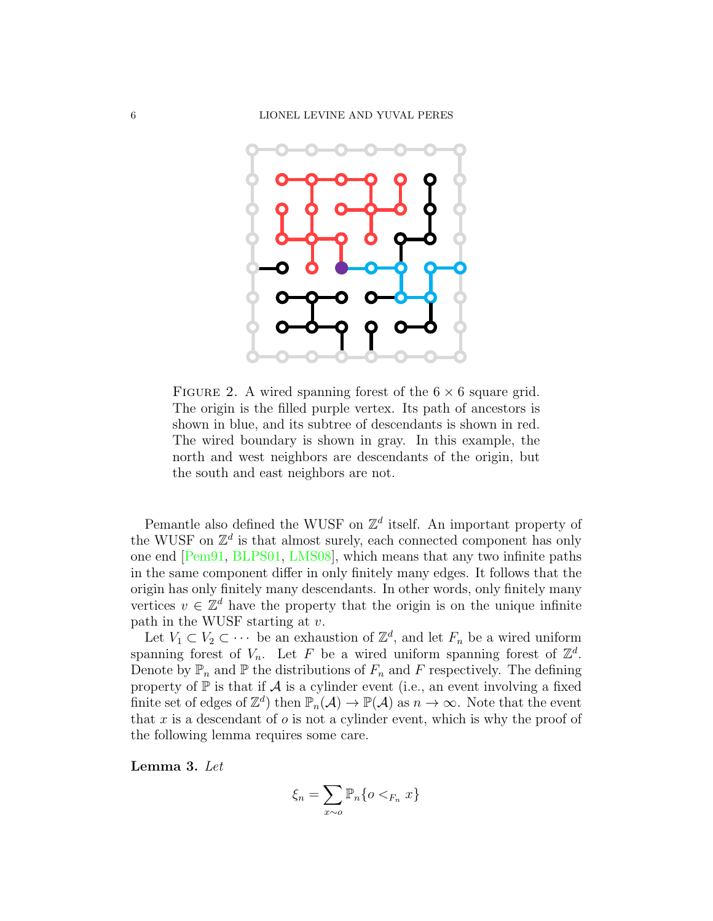

FIGURE 2. A wired spanning forest of the  $6 \times 6$  square grid. The origin is the filled purple vertex. Its path of ancestors is shown in blue, and its subtree of descendants is shown in red. The wired boundary is shown in gray. In this example, the north and west neighbors are descendants of the origin, but the south and east neighbors are not.

Pemantle also defined the WUSF on  $\mathbb{Z}^d$  itself. An important property of the WUSF on  $\mathbb{Z}^d$  is that almost surely, each connected component has only one end [\[Pem91,](#page-13-8) [BLPS01,](#page-13-12) [LMS08\]](#page-13-13), which means that any two infinite paths in the same component differ in only finitely many edges. It follows that the origin has only finitely many descendants. In other words, only finitely many vertices  $v \in \mathbb{Z}^d$  have the property that the origin is on the unique infinite path in the WUSF starting at  $v$ .

Let  $V_1 \subset V_2 \subset \cdots$  be an exhaustion of  $\mathbb{Z}^d$ , and let  $F_n$  be a wired uniform spanning forest of  $V_n$ . Let F be a wired uniform spanning forest of  $\mathbb{Z}^d$ . Denote by  $\mathbb{P}_n$  and  $\mathbb{P}$  the distributions of  $F_n$  and F respectively. The defining property of  $\mathbb P$  is that if  $\mathcal A$  is a cylinder event (i.e., an event involving a fixed finite set of edges of  $\mathbb{Z}^d$  then  $\mathbb{P}_n(\mathcal{A}) \to \mathbb{P}(\mathcal{A})$  as  $n \to \infty$ . Note that the event that x is a descendant of  $\sigma$  is not a cylinder event, which is why the proof of the following lemma requires some care.

<span id="page-5-0"></span>Lemma 3. Let

$$
\xi_n = \sum_{x \sim o} \mathbb{P}_n\{o <_{F_n} x\}
$$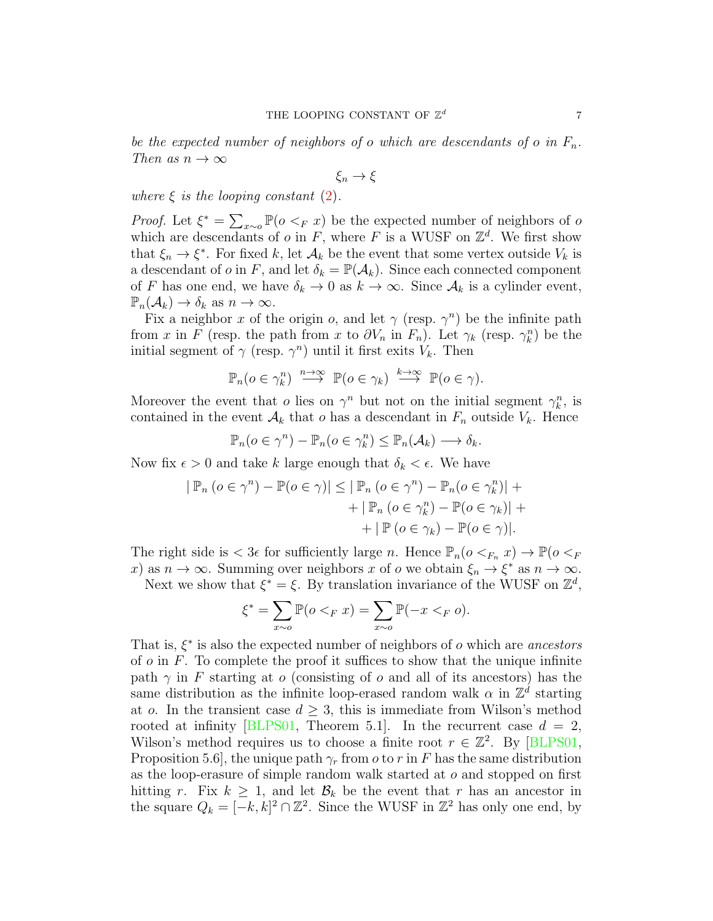be the expected number of neighbors of o which are descendants of o in  $F_n$ . Then as  $n \to \infty$ 

$$
\xi_n\to\xi
$$

where  $\xi$  is the looping constant [\(2\)](#page-4-1).

*Proof.* Let  $\xi^* = \sum_{x \sim o} \mathbb{P}(o \leq_F x)$  be the expected number of neighbors of o which are descendants of o in F, where F is a WUSF on  $\mathbb{Z}^d$ . We first show that  $\xi_n \to \xi^*$ . For fixed k, let  $\mathcal{A}_k$  be the event that some vertex outside  $V_k$  is a descendant of o in F, and let  $\delta_k = \mathbb{P}(\mathcal{A}_k)$ . Since each connected component of F has one end, we have  $\delta_k \to 0$  as  $k \to \infty$ . Since  $\mathcal{A}_k$  is a cylinder event,  $\mathbb{P}_n(\mathcal{A}_k) \to \delta_k$  as  $n \to \infty$ .

Fix a neighbor x of the origin o, and let  $\gamma$  (resp.  $\gamma^n$ ) be the infinite path from x in F (resp. the path from x to  $\partial V_n$  in  $F_n$ ). Let  $\gamma_k$  (resp.  $\gamma_k^n$ ) be the initial segment of  $\gamma$  (resp.  $\gamma^n$ ) until it first exits  $V_k$ . Then

$$
\mathbb{P}_n(o \in \gamma_k^n) \stackrel{n \to \infty}{\longrightarrow} \mathbb{P}(o \in \gamma_k) \stackrel{k \to \infty}{\longrightarrow} \mathbb{P}(o \in \gamma).
$$

Moreover the event that *o* lies on  $\gamma^n$  but not on the initial segment  $\gamma_k^n$ , is contained in the event  $\mathcal{A}_k$  that o has a descendant in  $F_n$  outside  $V_k$ . Hence

$$
\mathbb{P}_n(o \in \gamma^n) - \mathbb{P}_n(o \in \gamma_k^n) \le \mathbb{P}_n(\mathcal{A}_k) \longrightarrow \delta_k.
$$

Now fix  $\epsilon > 0$  and take k large enough that  $\delta_k < \epsilon$ . We have

$$
|\mathbb{P}_n (o \in \gamma^n) - \mathbb{P}(o \in \gamma)| \leq |\mathbb{P}_n (o \in \gamma^n) - \mathbb{P}_n (o \in \gamma_k^n)| +
$$
  
+ 
$$
|\mathbb{P}_n (o \in \gamma_k^n) - \mathbb{P}(o \in \gamma_k)| +
$$
  
+ 
$$
|\mathbb{P} (o \in \gamma_k) - \mathbb{P}(o \in \gamma)|.
$$

The right side is  $< 3\epsilon$  for sufficiently large n. Hence  $\mathbb{P}_n(o <_{F_n} x) \to \mathbb{P}(o <_{F_n} x)$ x) as  $n \to \infty$ . Summing over neighbors x of o we obtain  $\xi_n \to \xi^*$  as  $n \to \infty$ .

Next we show that  $\xi^* = \xi$ . By translation invariance of the WUSF on  $\mathbb{Z}^d$ ,

$$
\xi^* = \sum_{x \sim o} \mathbb{P}(o <_F x) = \sum_{x \sim o} \mathbb{P}(-x <_F o).
$$

That is,  $\xi^*$  is also the expected number of neighbors of  $o$  which are ancestors of  $o$  in  $F$ . To complete the proof it suffices to show that the unique infinite path  $\gamma$  in F starting at o (consisting of o and all of its ancestors) has the same distribution as the infinite loop-erased random walk  $\alpha$  in  $\mathbb{Z}^d$  starting at o. In the transient case  $d \geq 3$ , this is immediate from Wilson's method rooted at infinity [\[BLPS01,](#page-13-12) Theorem 5.1]. In the recurrent case  $d = 2$ , Wilson's method requires us to choose a finite root  $r \in \mathbb{Z}^2$ . By [\[BLPS01,](#page-13-12) Proposition 5.6, the unique path  $\gamma_r$  from *o* to *r* in *F* has the same distribution as the loop-erasure of simple random walk started at o and stopped on first hitting r. Fix  $k \geq 1$ , and let  $\mathcal{B}_k$  be the event that r has an ancestor in the square  $Q_k = [-k, k]^2 \cap \mathbb{Z}^2$ . Since the WUSF in  $\mathbb{Z}^2$  has only one end, by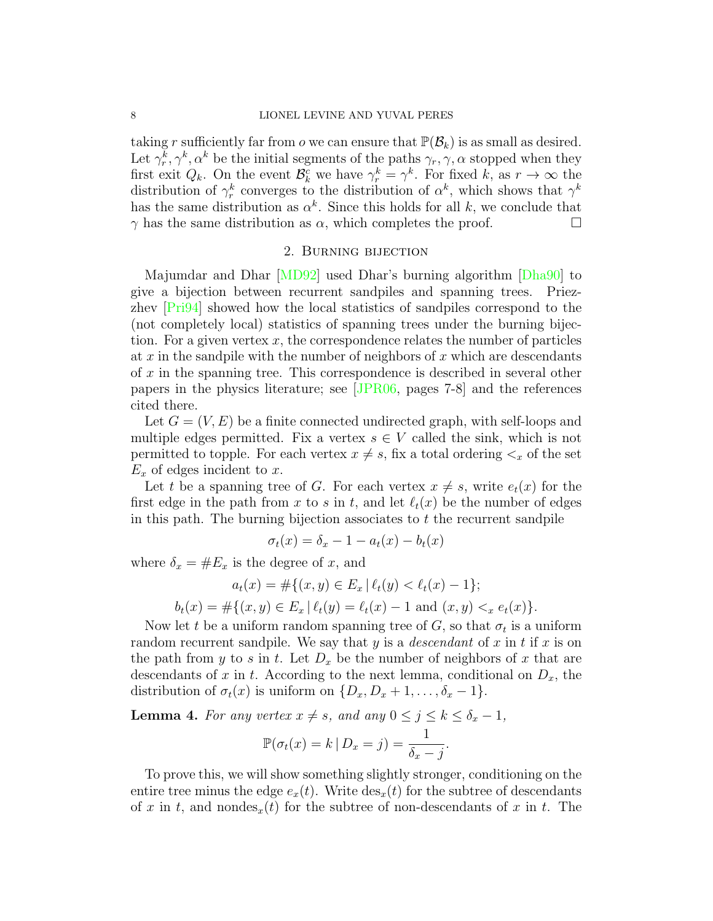taking r sufficiently far from o we can ensure that  $\mathbb{P}(\mathcal{B}_k)$  is as small as desired. Let  $\gamma_r^k, \gamma^k, \alpha^k$  be the initial segments of the paths  $\gamma_r, \gamma, \alpha$  stopped when they first exit  $Q_k$ . On the event  $\mathcal{B}_k^c$  we have  $\gamma_r^k = \gamma^k$ . For fixed k, as  $r \to \infty$  the distribution of  $\gamma_r^k$  converges to the distribution of  $\alpha^k$ , which shows that  $\gamma^k$ has the same distribution as  $\alpha^k$ . Since this holds for all k, we conclude that  $\gamma$  has the same distribution as  $\alpha$ , which completes the proof.

### 2. Burning bijection

<span id="page-7-0"></span>Majumdar and Dhar [\[MD92\]](#page-13-14) used Dhar's burning algorithm [\[Dha90\]](#page-13-2) to give a bijection between recurrent sandpiles and spanning trees. Priezzhev [\[Pri94\]](#page-14-2) showed how the local statistics of sandpiles correspond to the (not completely local) statistics of spanning trees under the burning bijection. For a given vertex  $x$ , the correspondence relates the number of particles at  $x$  in the sandpile with the number of neighbors of  $x$  which are descendants of x in the spanning tree. This correspondence is described in several other papers in the physics literature; see [\[JPR06,](#page-13-6) pages 7-8] and the references cited there.

Let  $G = (V, E)$  be a finite connected undirected graph, with self-loops and multiple edges permitted. Fix a vertex  $s \in V$  called the sink, which is not permitted to topple. For each vertex  $x \neq s$ , fix a total ordering  $\lt_x$  of the set  $E_x$  of edges incident to x.

Let t be a spanning tree of G. For each vertex  $x \neq s$ , write  $e_t(x)$  for the first edge in the path from x to s in t, and let  $\ell_t(x)$  be the number of edges in this path. The burning bijection associates to  $t$  the recurrent sandpile

$$
\sigma_t(x) = \delta_x - 1 - a_t(x) - b_t(x)
$$

where  $\delta_x = \#E_x$  is the degree of x, and

$$
a_t(x) = \#\{(x, y) \in E_x \mid \ell_t(y) < \ell_t(x) - 1\};
$$
\n
$$
b_t(x) = \#\{(x, y) \in E_x \mid \ell_t(y) = \ell_t(x) - 1 \text{ and } (x, y) <_{x} e_t(x)\}.
$$

Now let t be a uniform random spanning tree of  $G$ , so that  $\sigma_t$  is a uniform random recurrent sandpile. We say that y is a *descendant* of x in t if x is on the path from y to s in t. Let  $D_x$  be the number of neighbors of x that are descendants of x in t. According to the next lemma, conditional on  $D_x$ , the distribution of  $\sigma_t(x)$  is uniform on  $\{D_x, D_x + 1, \ldots, \delta_x - 1\}.$ 

<span id="page-7-1"></span>**Lemma 4.** For any vertex  $x \neq s$ , and any  $0 \leq j \leq k \leq \delta_x - 1$ ,

$$
\mathbb{P}(\sigma_t(x) = k | D_x = j) = \frac{1}{\delta_x - j}.
$$

To prove this, we will show something slightly stronger, conditioning on the entire tree minus the edge  $e_x(t)$ . Write  $\text{des}_x(t)$  for the subtree of descendants of x in t, and nondes<sub>x</sub>(t) for the subtree of non-descendants of x in t. The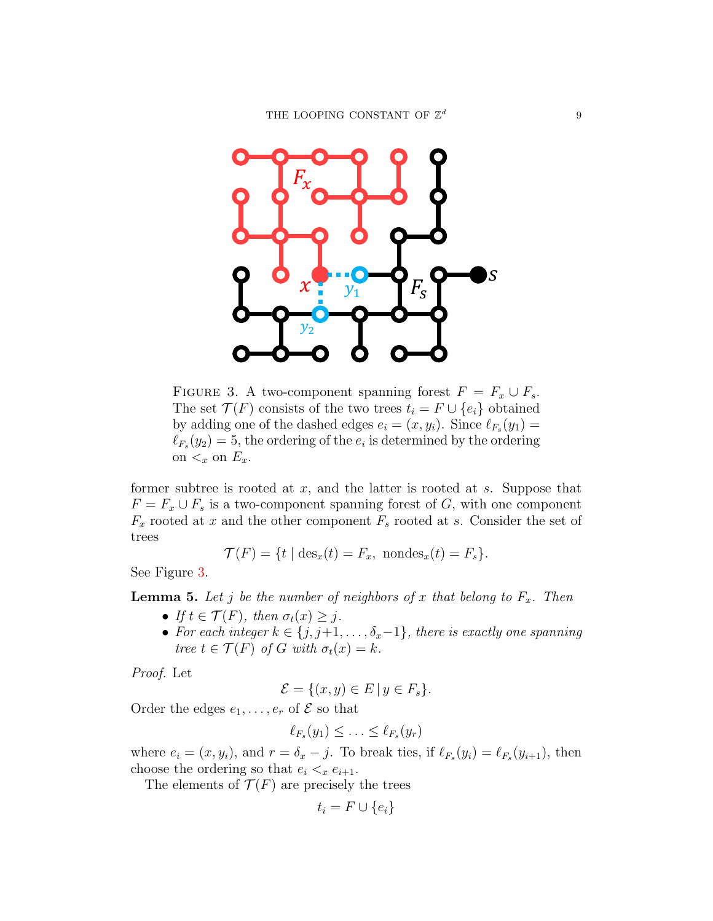

<span id="page-8-0"></span>FIGURE 3. A two-component spanning forest  $F = F_x \cup F_s$ . The set  $\mathcal{T}(F)$  consists of the two trees  $t_i = F \cup \{e_i\}$  obtained by adding one of the dashed edges  $e_i = (x, y_i)$ . Since  $\ell_{F_s}(y_1) =$  $\ell_{F_s}(y_2) = 5$ , the ordering of the  $e_i$  is determined by the ordering on  $\lt_x$  on  $E_x$ .

former subtree is rooted at  $x$ , and the latter is rooted at  $s$ . Suppose that  $F = F_x \cup F_s$  is a two-component spanning forest of G, with one component  $F_x$  rooted at x and the other component  $F_s$  rooted at s. Consider the set of trees

$$
\mathcal{T}(F) = \{ t \mid \text{des}_x(t) = F_x, \text{ nondes}_x(t) = F_s \}.
$$

See Figure [3.](#page-8-0)

**Lemma 5.** Let j be the number of neighbors of x that belong to  $F_x$ . Then

- If  $t \in \mathcal{T}(F)$ , then  $\sigma_t(x) \geq i$ .
- For each integer  $k \in \{j, j+1, \ldots, \delta_x-1\}$ , there is exactly one spanning tree  $t \in \mathcal{T}(F)$  of G with  $\sigma_t(x) = k$ .

Proof. Let

$$
\mathcal{E} = \{(x, y) \in E \mid y \in F_s\}.
$$

Order the edges  $e_1, \ldots, e_r$  of  $\mathcal E$  so that

$$
\ell_{F_s}(y_1) \leq \ldots \leq \ell_{F_s}(y_r)
$$

where  $e_i = (x, y_i)$ , and  $r = \delta_x - j$ . To break ties, if  $\ell_{F_s}(y_i) = \ell_{F_s}(y_{i+1})$ , then choose the ordering so that  $e_i <_x e_{i+1}$ .

The elements of  $\mathcal{T}(F)$  are precisely the trees

$$
t_i = F \cup \{e_i\}
$$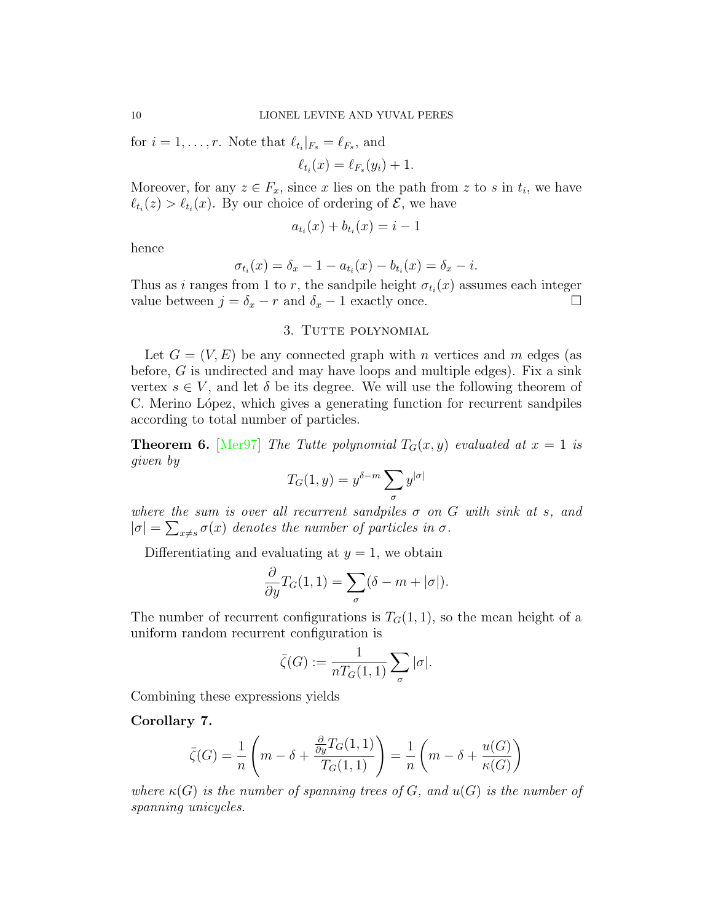for  $i = 1, \ldots, r$ . Note that  $\ell_{t_i}|_{F_s} = \ell_{F_s}$ , and

$$
\ell_{t_i}(x) = \ell_{F_s}(y_i) + 1.
$$

Moreover, for any  $z \in F_x$ , since x lies on the path from z to s in  $t_i$ , we have  $\ell_{t_i}(z) > \ell_{t_i}(x)$ . By our choice of ordering of  $\mathcal{E}$ , we have

$$
a_{t_i}(x) + b_{t_i}(x) = i - 1
$$

hence

$$
\sigma_{t_i}(x) = \delta_x - 1 - a_{t_i}(x) - b_{t_i}(x) = \delta_x - i.
$$

Thus as i ranges from 1 to r, the sandpile height  $\sigma_{t_i}(x)$  assumes each integer value between  $j = \delta_x - r$  and  $\delta_x - 1$  exactly once.

# 3. TUTTE POLYNOMIAL

<span id="page-9-0"></span>Let  $G = (V, E)$  be any connected graph with n vertices and m edges (as before,  $G$  is undirected and may have loops and multiple edges). Fix a sink vertex  $s \in V$ , and let  $\delta$  be its degree. We will use the following theorem of C. Merino López, which gives a generating function for recurrent sandpiles according to total number of particles.

**Theorem 6.** [\[Mer97\]](#page-13-15) The Tutte polynomial  $T_G(x, y)$  evaluated at  $x = 1$  is given by

$$
T_G(1,y)=y^{\delta-m}\sum_{\sigma}y^{|\sigma|}
$$

where the sum is over all recurrent sandpiles  $\sigma$  on G with sink at s, and  $|\sigma| = \sum_{x \neq s} \sigma(x)$  denotes the number of particles in  $\sigma$ .

Differentiating and evaluating at  $y = 1$ , we obtain

$$
\frac{\partial}{\partial y}T_G(1,1) = \sum_{\sigma} (\delta - m + |\sigma|).
$$

The number of recurrent configurations is  $T<sub>G</sub>(1,1)$ , so the mean height of a uniform random recurrent configuration is

$$
\bar{\zeta}(G):=\frac{1}{nT_G(1,1)}\sum_{\sigma}|\sigma|.
$$

Combining these expressions yields

<span id="page-9-1"></span>Corollary 7.

$$
\bar{\zeta}(G) = \frac{1}{n} \left( m - \delta + \frac{\frac{\partial}{\partial y} T_G(1,1)}{T_G(1,1)} \right) = \frac{1}{n} \left( m - \delta + \frac{u(G)}{\kappa(G)} \right)
$$

where  $\kappa(G)$  is the number of spanning trees of G, and  $u(G)$  is the number of spanning unicycles.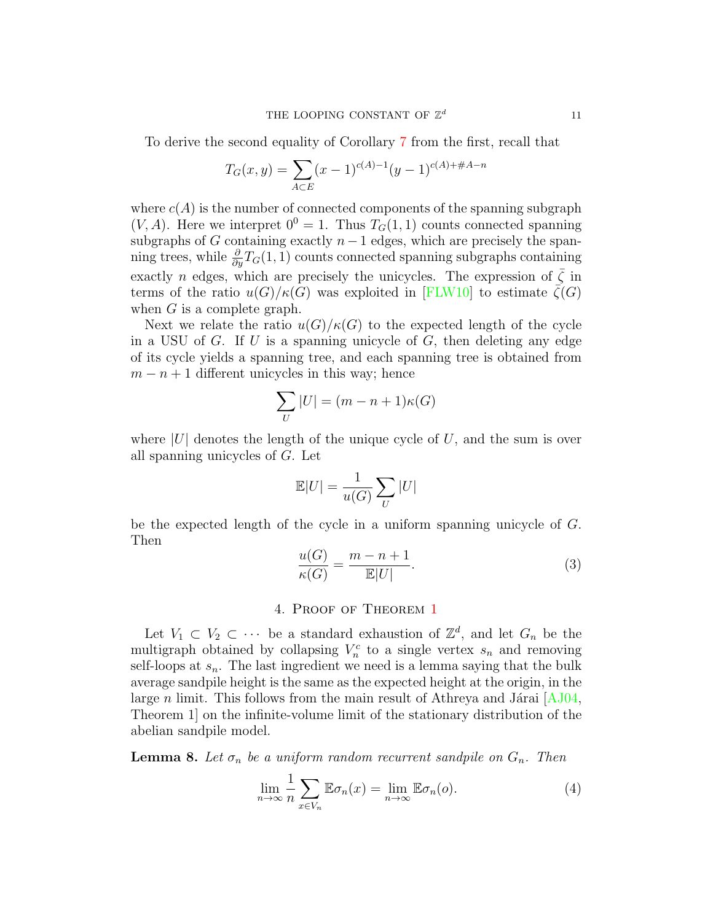To derive the second equality of Corollary [7](#page-9-1) from the first, recall that

$$
T_G(x,y) = \sum_{A \subset E} (x-1)^{c(A)-1} (y-1)^{c(A)+\#A-n}
$$

where  $c(A)$  is the number of connected components of the spanning subgraph  $(V, A)$ . Here we interpret  $0^0 = 1$ . Thus  $T_G(1, 1)$  counts connected spanning subgraphs of G containing exactly  $n-1$  edges, which are precisely the spanning trees, while  $\frac{\partial}{\partial y}T_G(1,1)$  counts connected spanning subgraphs containing exactly n edges, which are precisely the unicycles. The expression of  $\overline{\zeta}$  in terms of the ratio  $u(G)/\kappa(G)$  was exploited in [\[FLW10\]](#page-13-16) to estimate  $\zeta(G)$ when G is a complete graph.

Next we relate the ratio  $u(G)/\kappa(G)$  to the expected length of the cycle in a USU of G. If U is a spanning unicycle of G, then deleting any edge of its cycle yields a spanning tree, and each spanning tree is obtained from  $m - n + 1$  different unicycles in this way; hence

$$
\sum_{U} |U| = (m - n + 1)\kappa(G)
$$

where  $|U|$  denotes the length of the unique cycle of U, and the sum is over all spanning unicycles of G. Let

$$
\mathbb{E} |U| = \frac{1}{u(G)} \sum_U |U|
$$

be the expected length of the cycle in a uniform spanning unicycle of G. Then

<span id="page-10-1"></span>
$$
\frac{u(G)}{\kappa(G)} = \frac{m - n + 1}{\mathbb{E}|U|}.
$$
\n(3)

# 4. Proof of Theorem [1](#page-1-0)

Let  $V_1 \subset V_2 \subset \cdots$  be a standard exhaustion of  $\mathbb{Z}^d$ , and let  $G_n$  be the multigraph obtained by collapsing  $V_n^c$  to a single vertex  $s_n$  and removing self-loops at  $s_n$ . The last ingredient we need is a lemma saying that the bulk average sandpile height is the same as the expected height at the origin, in the large n limit. This follows from the main result of Athreya and Járai  $[AJ04,$ Theorem 1] on the infinite-volume limit of the stationary distribution of the abelian sandpile model.

<span id="page-10-0"></span>**Lemma 8.** Let  $\sigma_n$  be a uniform random recurrent sandpile on  $G_n$ . Then

$$
\lim_{n \to \infty} \frac{1}{n} \sum_{x \in V_n} \mathbb{E} \sigma_n(x) = \lim_{n \to \infty} \mathbb{E} \sigma_n(o). \tag{4}
$$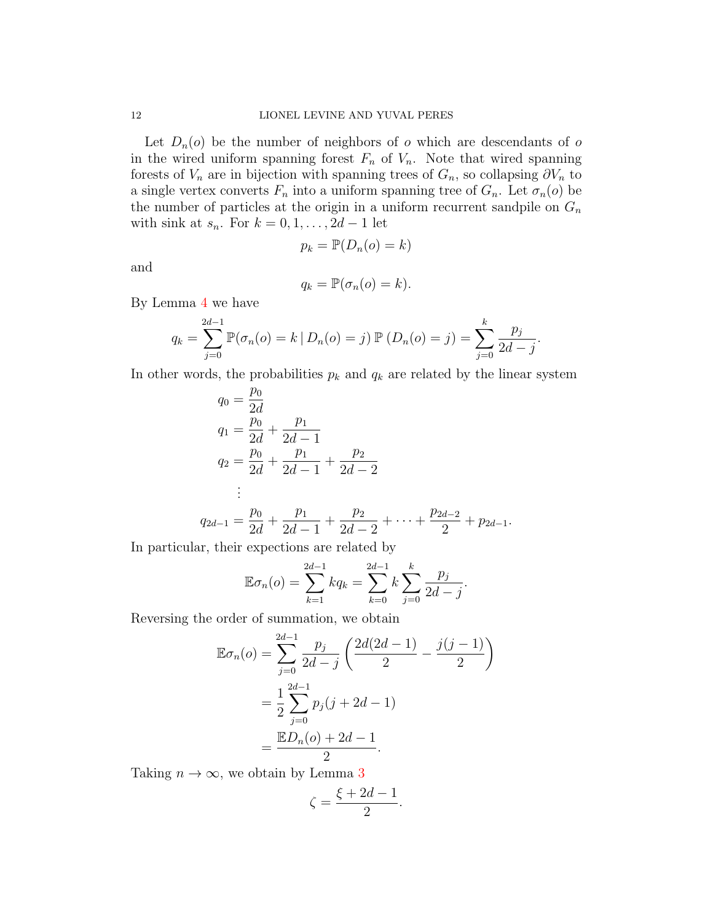Let  $D_n(o)$  be the number of neighbors of o which are descendants of o in the wired uniform spanning forest  $F_n$  of  $V_n$ . Note that wired spanning forests of  $V_n$  are in bijection with spanning trees of  $G_n$ , so collapsing  $\partial V_n$  to a single vertex converts  $F_n$  into a uniform spanning tree of  $G_n$ . Let  $\sigma_n(o)$  be the number of particles at the origin in a uniform recurrent sandpile on  $G_n$ with sink at  $s_n$ . For  $k = 0, 1, \ldots, 2d - 1$  let

$$
p_k = \mathbb{P}(D_n(o) = k)
$$

and

$$
q_k = \mathbb{P}(\sigma_n(o) = k).
$$

By Lemma [4](#page-7-1) we have

$$
q_k = \sum_{j=0}^{2d-1} \mathbb{P}(\sigma_n(o) = k \mid D_n(o) = j) \mathbb{P}(D_n(o) = j) = \sum_{j=0}^k \frac{p_j}{2d-j}.
$$

In other words, the probabilities  $p_k$  and  $q_k$  are related by the linear system

$$
q_0 = \frac{p_0}{2d}
$$
  
\n
$$
q_1 = \frac{p_0}{2d} + \frac{p_1}{2d - 1}
$$
  
\n
$$
q_2 = \frac{p_0}{2d} + \frac{p_1}{2d - 1} + \frac{p_2}{2d - 2}
$$
  
\n
$$
\vdots
$$
  
\n
$$
q_{2d-1} = \frac{p_0}{2d} + \frac{p_1}{2d - 1} + \frac{p_2}{2d - 2} + \dots + \frac{p_{2d-2}}{2} + p_{2d-1}.
$$

In particular, their expections are related by

$$
\mathbb{E}\sigma_n(o) = \sum_{k=1}^{2d-1} kq_k = \sum_{k=0}^{2d-1} k \sum_{j=0}^k \frac{p_j}{2d-j}.
$$

Reversing the order of summation, we obtain

$$
\mathbb{E}\sigma_n(o) = \sum_{j=0}^{2d-1} \frac{p_j}{2d-j} \left( \frac{2d(2d-1)}{2} - \frac{j(j-1)}{2} \right)
$$

$$
= \frac{1}{2} \sum_{j=0}^{2d-1} p_j(j+2d-1)
$$

$$
= \frac{\mathbb{E}D_n(o) + 2d - 1}{2}.
$$

Taking  $n \to \infty$ , we obtain by Lemma [3](#page-5-0)

$$
\zeta = \frac{\xi + 2d - 1}{2}.
$$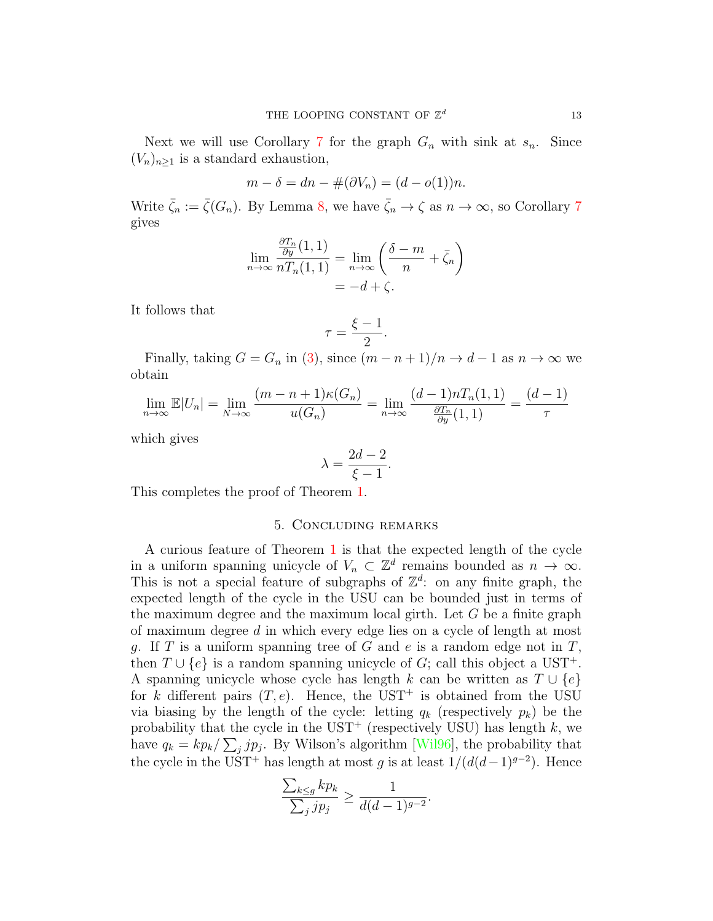Next we will use Corollary [7](#page-9-1) for the graph  $G_n$  with sink at  $s_n$ . Since  $(V_n)_{n>1}$  is a standard exhaustion,

$$
m - \delta = dn - \#(\partial V_n) = (d - o(1))n.
$$

Write  $\bar{\zeta}_n := \bar{\zeta}(G_n)$ . By Lemma [8,](#page-10-0) we have  $\bar{\zeta}_n \to \zeta$  as  $n \to \infty$ , so Corollary [7](#page-9-1) gives

$$
\lim_{n \to \infty} \frac{\frac{\partial T_n}{\partial y}(1,1)}{n T_n(1,1)} = \lim_{n \to \infty} \left( \frac{\delta - m}{n} + \bar{\zeta}_n \right)
$$

$$
= -d + \zeta.
$$

It follows that

$$
\tau = \frac{\xi - 1}{2}.
$$

Finally, taking  $G = G_n$  in [\(3\)](#page-10-1), since  $(m - n + 1)/n \rightarrow d - 1$  as  $n \rightarrow \infty$  we obtain

$$
\lim_{n \to \infty} \mathbb{E}|U_n| = \lim_{N \to \infty} \frac{(m-n+1)\kappa(G_n)}{u(G_n)} = \lim_{n \to \infty} \frac{(d-1)nT_n(1,1)}{\frac{\partial T_n}{\partial y}(1,1)} = \frac{(d-1)}{\tau}
$$

which gives

$$
\lambda = \frac{2d - 2}{\xi - 1}.
$$

This completes the proof of Theorem [1.](#page-1-0)

## 5. Concluding remarks

A curious feature of Theorem [1](#page-1-0) is that the expected length of the cycle in a uniform spanning unicycle of  $V_n \subset \mathbb{Z}^d$  remains bounded as  $n \to \infty$ . This is not a special feature of subgraphs of  $\mathbb{Z}^d$ : on any finite graph, the expected length of the cycle in the USU can be bounded just in terms of the maximum degree and the maximum local girth. Let  $G$  be a finite graph of maximum degree d in which every edge lies on a cycle of length at most q. If T is a uniform spanning tree of G and e is a random edge not in  $T$ , then  $T \cup \{e\}$  is a random spanning unicycle of G; call this object a UST<sup>+</sup>. A spanning unicycle whose cycle has length k can be written as  $T \cup \{e\}$ for k different pairs  $(T, e)$ . Hence, the UST<sup>+</sup> is obtained from the USU via biasing by the length of the cycle: letting  $q_k$  (respectively  $p_k$ ) be the probability that the cycle in the UST<sup>+</sup> (respectively USU) has length  $k$ , we have  $q_k = kp_k / \sum_j j p_j$ . By Wilson's algorithm [\[Wil96\]](#page-14-3), the probability that the cycle in the UST<sup>+</sup> has length at most g is at least  $1/(d(d-1)^{g-2})$ . Hence

$$
\frac{\sum_{k\le g}kp_k}{\sum_jjp_j}\ge \frac{1}{d(d-1)^{g-2}}.
$$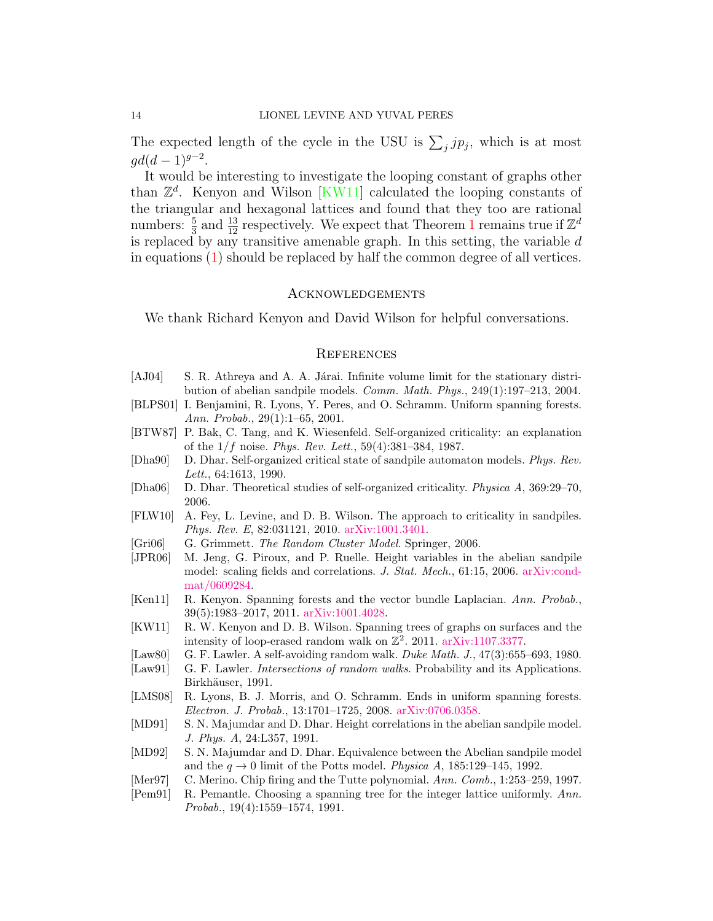The expected length of the cycle in the USU is  $\sum_j j p_j$ , which is at most  $gd(d-1)^{g-2}.$ 

It would be interesting to investigate the looping constant of graphs other than  $\mathbb{Z}^d$ . Kenyon and Wilson [\[KW11\]](#page-13-0) calculated the looping constants of the triangular and hexagonal lattices and found that they too are rational numbers:  $\frac{5}{3}$  and  $\frac{13}{12}$  $\frac{13}{12}$  $\frac{13}{12}$  respectively. We expect that Theorem 1 remains true if  $\mathbb{Z}^d$ is replaced by any transitive amenable graph. In this setting, the variable  $d$ in equations [\(1\)](#page-1-1) should be replaced by half the common degree of all vertices.

## **ACKNOWLEDGEMENTS**

We thank Richard Kenyon and David Wilson for helpful conversations.

### **REFERENCES**

- <span id="page-13-9"></span>[AJ04] S. R. Athreya and A. A. Járai. Infinite volume limit for the stationary distribution of abelian sandpile models. Comm. Math. Phys., 249(1):197–213, 2004.
- <span id="page-13-12"></span>[BLPS01] I. Benjamini, R. Lyons, Y. Peres, and O. Schramm. Uniform spanning forests. Ann. Probab., 29(1):1–65, 2001.
- <span id="page-13-1"></span>[BTW87] P. Bak, C. Tang, and K. Wiesenfeld. Self-organized criticality: an explanation of the  $1/f$  noise. Phys. Rev. Lett.,  $59(4):381-384$ , 1987.
- <span id="page-13-2"></span>[Dha90] D. Dhar. Self-organized critical state of sandpile automaton models. Phys. Rev. Lett., 64:1613, 1990.
- <span id="page-13-3"></span>[Dha06] D. Dhar. Theoretical studies of self-organized criticality. Physica A, 369:29–70, 2006.
- <span id="page-13-16"></span>[FLW10] A. Fey, L. Levine, and D. B. Wilson. The approach to criticality in sandpiles. Phys. Rev. E, 82:031121, 2010. [arXiv:1001.3401.](http://arxiv.org/abs/1001.3401)
- <span id="page-13-10"></span>[Gri06] G. Grimmett. The Random Cluster Model. Springer, 2006.
- <span id="page-13-6"></span>[JPR06] M. Jeng, G. Piroux, and P. Ruelle. Height variables in the abelian sandpile model: scaling fields and correlations. J. Stat. Mech., 61:15, 2006. [arXiv:cond](http://arxiv.org/abs/cond-mat/0609284)[mat/0609284.](http://arxiv.org/abs/cond-mat/0609284)
- <span id="page-13-4"></span>[Ken11] R. Kenyon. Spanning forests and the vector bundle Laplacian. Ann. Probab., 39(5):1983–2017, 2011. [arXiv:1001.4028.](http://arxiv.org/abs/1001.4028)
- <span id="page-13-0"></span>[KW11] R. W. Kenyon and D. B. Wilson. Spanning trees of graphs on surfaces and the intensity of loop-erased random walk on  $\mathbb{Z}^2$ . 2011. [arXiv:1107.3377.](http://arxiv.org/abs/1107.3377)
- <span id="page-13-7"></span>[Law80] G. F. Lawler. A self-avoiding random walk. Duke Math. J., 47(3):655–693, 1980.
- <span id="page-13-11"></span>[Law91] G. F. Lawler. *Intersections of random walks*. Probability and its Applications. Birkhäuser, 1991.
- <span id="page-13-13"></span>[LMS08] R. Lyons, B. J. Morris, and O. Schramm. Ends in uniform spanning forests. Electron. J. Probab., 13:1701–1725, 2008. [arXiv:0706.0358.](http://arxiv.org/abs/0706.0358)
- <span id="page-13-5"></span>[MD91] S. N. Majumdar and D. Dhar. Height correlations in the abelian sandpile model. J. Phys. A, 24:L357, 1991.
- <span id="page-13-14"></span>[MD92] S. N. Majumdar and D. Dhar. Equivalence between the Abelian sandpile model and the  $q \rightarrow 0$  limit of the Potts model. Physica A, 185:129-145, 1992.
- <span id="page-13-15"></span>[Mer97] C. Merino. Chip firing and the Tutte polynomial. Ann. Comb., 1:253–259, 1997.
- <span id="page-13-8"></span>[Pem91] R. Pemantle. Choosing a spanning tree for the integer lattice uniformly. Ann. Probab., 19(4):1559–1574, 1991.